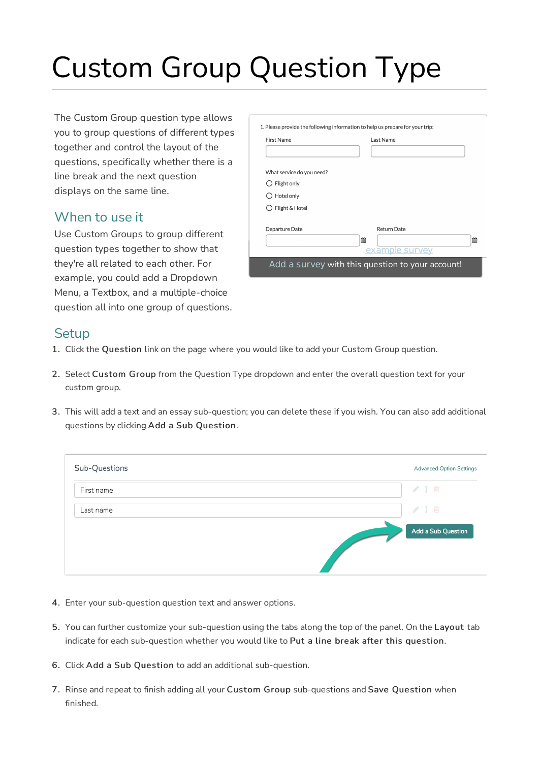# Custom Group Question Type

The Custom Group question type allows you to group questions of different types together and control the layout of the questions, specifically whether there is a line break and the next question displays on the same line.

#### When to use it

Use Custom Groups to group different question types together to show that they're all related to each other. For example, you could add a Dropdown Menu, a Textbox, and a multiple-choice question all into one group of questions.

| First Name                | Last Name          |   |
|---------------------------|--------------------|---|
|                           |                    |   |
| What service do you need? |                    |   |
| Flight only               |                    |   |
| Hotel only                |                    |   |
| Flight & Hotel            |                    |   |
| Departure Date            | <b>Return Date</b> |   |
|                           | 飴                  | 鱛 |
|                           | example survey     |   |

#### **Setup**

- 1. Click the Question link on the page where you would like to add your Custom Group question.
- 2. Select Custom Group from the Question Type dropdown and enter the overall question text for your custom group.
- 3. This will add a text and an essay sub-question; you can delete these if you wish. You can also add additional questions by clicking Add a Sub Question.

| Sub-Questions | <b>Advanced Option Settings</b> |
|---------------|---------------------------------|
| First name    | $\mathcal{P}$ 1 m               |
| Last name     | 210                             |
|               | Add a Sub Question              |

- 4. Enter your sub-question question text and answer options.
- 5. You can further customize your sub-question using the tabs along the top of the panel. On the Layout tab indicate for each sub-question whether you would like to Put a line break after this question.
- 6. Click Add a Sub Question to add an additional sub-question.
- 7. Rinse and repeat to finish adding all your Custom Group sub-questions and Save Question when finished.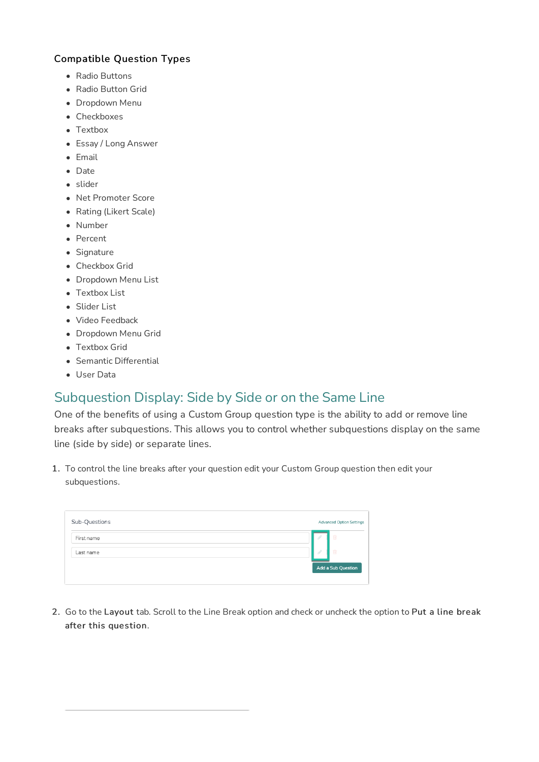#### Compatible Question Types

- Radio Buttons
- Radio Button Grid
- Dropdown Menu
- Checkboxes
- Textbox
- Essay / Long Answer
- Email
- Date
- slider
- Net Promoter Score
- Rating (Likert Scale)
- Number
- Percent
- Signature
- Checkbox Grid
- Dropdown Menu List
- Textbox List
- Slider List
- Video Feedback
- Dropdown Menu Grid
- Textbox Grid
- Semantic Differential
- User Data

#### Subquestion Display: Side by Side or on the Same Line

One of the benefits of using a Custom Group question type is the ability to add or remove line breaks after subquestions. This allows you to control whether subquestions display on the same line (side by side) or separate lines.

1. To control the line breaks after your question edit your Custom Group question then edit your subquestions.

| Sub-Questions | <b>Advanced Option Settings</b> |  |
|---------------|---------------------------------|--|
| First name    | û<br>- 17                       |  |
| Last name     | 面<br>- 17                       |  |
|               | Add a Sub Question              |  |
|               |                                 |  |

2. Go to the Layout tab. Scroll to the Line Break option and check or uncheck the option to Put a line break after this question.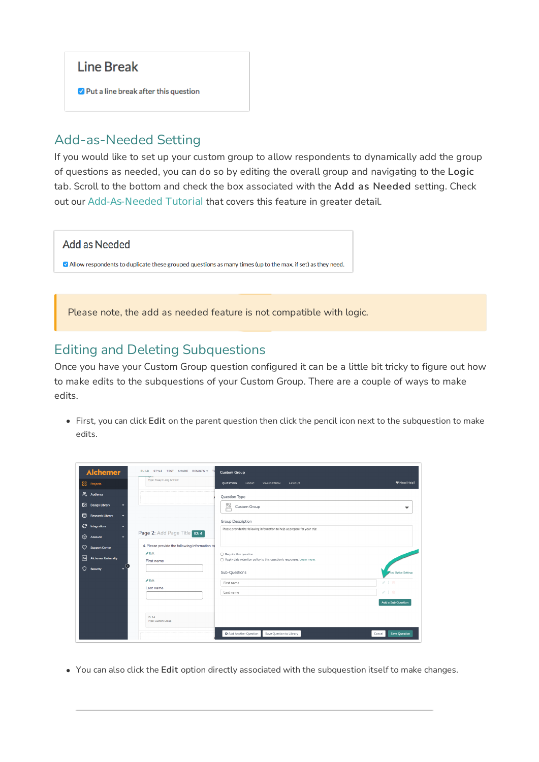#### **Line Break**

Put a line break after this question

### Add-as-Needed Setting

If you would like to set up your custom group to allow respondents to dynamically add the group of questions as needed, you can do so by editing the overall group and navigating to the Logic tab. Scroll to the bottom and check the box associated with the Add as Needed setting. Check out our Add-As-Needed Tutorial that covers this feature in greater detail.



Please note, the add as needed feature is not compatible with logic.

#### Editing and Deleting Subquestions

Once you have your Custom Group question configured it can be a little bit tricky to figure out how to make edits to the subquestions of your Custom Group. There are a couple of ways to make edits.

First, you can click Edit on the parent question then click the pencil icon next to the subquestion to make edits.

| <b>Alchemer</b>                                                | BUILD STYLE TEST SHARE RESULTS + T                         | <b>Custom Group</b>                                                                             |                                |
|----------------------------------------------------------------|------------------------------------------------------------|-------------------------------------------------------------------------------------------------|--------------------------------|
| <b>88</b> Projects                                             | Type: Essay / Long Answer                                  | <b>OUESTION</b><br>LOGIC<br>VALIDATION<br>LAYOUT                                                | ♥ Need Help?                   |
| Audience<br>⊠                                                  |                                                            | Question Type                                                                                   |                                |
| <b>Design Library</b><br>目<br>Research Library                 |                                                            | $\begin{matrix} 0 \\ 0 \\ 0 \end{matrix}$<br>Custom Group                                       | ▼                              |
| <sup>2</sup> Integrations<br>ঞ<br>Account                      | Page 2: Add Page Title D: 4                                | Group Description<br>Please provide the following information to help us prepare for your trip: |                                |
| Support Center                                                 | 4. Please provide the following information to<br>$P$ Edit |                                                                                                 |                                |
| 絗<br><b>Alchemer University</b><br>$\epsilon$<br>О<br>Security | First name                                                 | Require this question<br>Apply data retention policy to this question's responses. Learn more.  |                                |
|                                                                |                                                            | Sub-Questions                                                                                   | <b>Reed Option Settings</b>    |
|                                                                | $P$ Edit<br>Last name                                      | First name                                                                                      | 718                            |
|                                                                |                                                            | Last name                                                                                       | 718                            |
|                                                                |                                                            |                                                                                                 | Add a Sub Question             |
|                                                                | ID: 14<br>Type: Custom Group                               |                                                                                                 |                                |
|                                                                |                                                            | <b>O</b> Add Another Question<br>Save Question to Library                                       | <b>Save Question</b><br>Cancel |

You can also click the Edit option directly associated with the subquestion itself to make changes.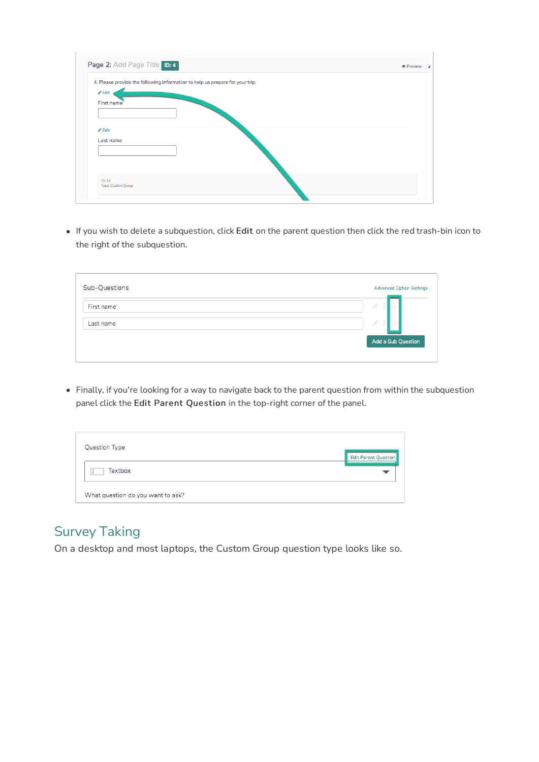|                            | 4. Please provide the following information to help us prepare for your trip: |  |
|----------------------------|-------------------------------------------------------------------------------|--|
| $\triangle$ Edit           |                                                                               |  |
| First name                 |                                                                               |  |
|                            |                                                                               |  |
|                            |                                                                               |  |
| $\blacktriangleright$ Edit |                                                                               |  |
| Last name                  |                                                                               |  |
|                            |                                                                               |  |
|                            |                                                                               |  |
|                            |                                                                               |  |
| ID: 14                     |                                                                               |  |

If you wish to delete a subquestion, click Edit on the parent question then click the red trash-bin icon to the right of the subquestion.

| Sub-Questions | <b>Advanced Option Settings</b> |
|---------------|---------------------------------|
| First name    | - 17                            |
| Last name     |                                 |
|               | Add a Sub Question              |
|               |                                 |

Finally, if you're looking for a way to navigate back to the parent question from within the subquestion panel click the Edit Parent Question in the top-right corner of the panel.

| Question Type                     |                      |
|-----------------------------------|----------------------|
| Textbox                           | Edit Parent Question |
|                                   |                      |
| What question do you want to ask? |                      |

## Survey Taking

On a desktop and most laptops, the Custom Group question type looks like so.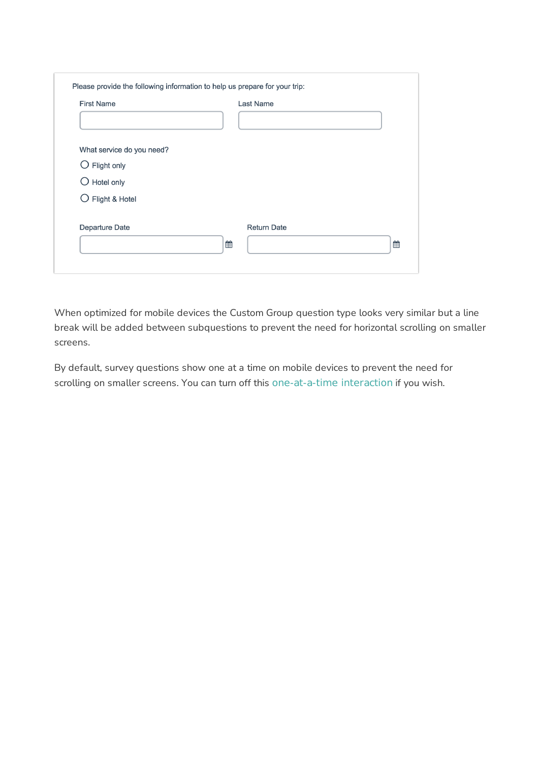| <b>First Name</b>         | <b>Last Name</b>   |   |
|---------------------------|--------------------|---|
|                           |                    |   |
| What service do you need? |                    |   |
| $\bigcirc$ Flight only    |                    |   |
| $\bigcirc$ Hotel only     |                    |   |
| Flight & Hotel            |                    |   |
| Departure Date            | <b>Return Date</b> |   |
|                           | ▦                  | 雦 |

When optimized for mobile devices the Custom Group question type looks very similar but a line break will be added between subquestions to prevent the need for horizontal scrolling on smaller screens.

By default, survey questions show one at a time on mobile devices to prevent the need for scrolling on smaller screens. You can turn off this one-at-a-time interaction if you wish.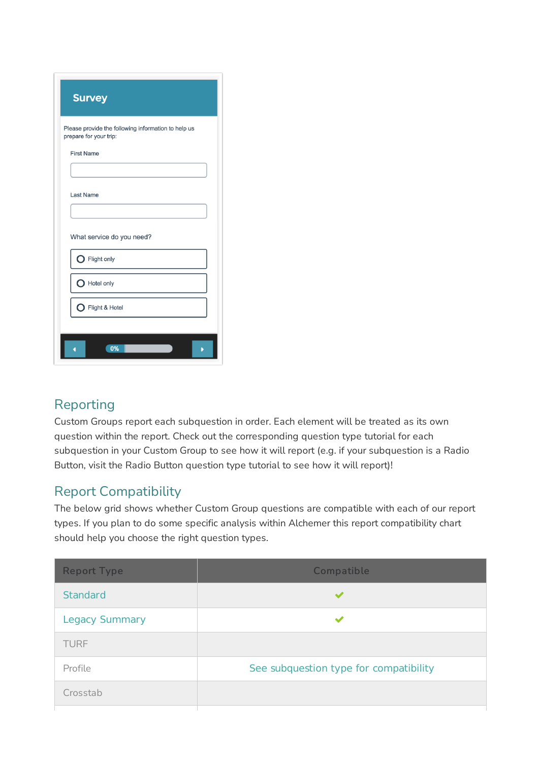| <b>Survey</b>                                                                 |
|-------------------------------------------------------------------------------|
| Please provide the following information to help us<br>prepare for your trip: |
| <b>First Name</b>                                                             |
| <b>Last Name</b>                                                              |
| What service do you need?                                                     |
| Flight only                                                                   |
| Hotel only                                                                    |
| Flight & Hotel                                                                |
| 0%                                                                            |

#### Reporting

Custom Groups report each subquestion in order. Each element will be treated as its own question within the report. Check out the corresponding question type tutorial for each subquestion in your Custom Group to see how it will report (e.g. if your subquestion is a Radio Button, visit the Radio Button question type tutorial to see how it will report)!

## Report Compatibility

The below grid shows whether Custom Group questions are compatible with each of our report types. If you plan to do some specific analysis within Alchemer this report compatibility chart should help you choose the right question types.

| <b>Report Type</b>    | Compatible                             |  |
|-----------------------|----------------------------------------|--|
| <b>Standard</b>       |                                        |  |
| <b>Legacy Summary</b> |                                        |  |
| <b>TURF</b>           |                                        |  |
| Profile               | See subquestion type for compatibility |  |
| Crosstab              |                                        |  |